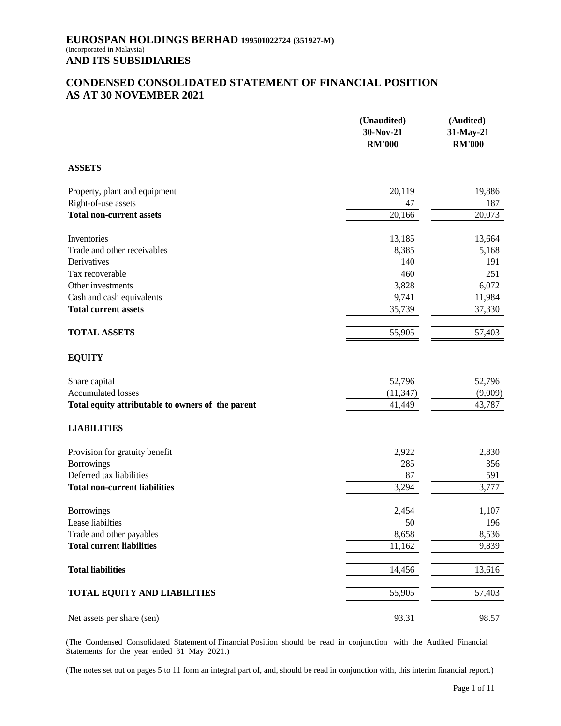# **CONDENSED CONSOLIDATED STATEMENT OF FINANCIAL POSITION AS AT 30 NOVEMBER 2021**

|                                                   | (Unaudited)<br>30-Nov-21<br><b>RM'000</b> | (Audited)<br>31-May-21<br><b>RM'000</b> |
|---------------------------------------------------|-------------------------------------------|-----------------------------------------|
| <b>ASSETS</b>                                     |                                           |                                         |
| Property, plant and equipment                     | 20,119                                    | 19,886                                  |
| Right-of-use assets                               | 47                                        | 187                                     |
| <b>Total non-current assets</b>                   | 20,166                                    | 20,073                                  |
| Inventories                                       | 13,185                                    | 13,664                                  |
| Trade and other receivables                       | 8,385                                     | 5,168                                   |
| Derivatives                                       | 140                                       | 191                                     |
| Tax recoverable                                   | 460                                       | 251                                     |
| Other investments                                 | 3,828                                     | 6,072                                   |
| Cash and cash equivalents                         | 9,741                                     | 11,984                                  |
| <b>Total current assets</b>                       | 35,739                                    | 37,330                                  |
| <b>TOTAL ASSETS</b>                               | 55,905                                    | 57,403                                  |
| <b>EQUITY</b>                                     |                                           |                                         |
| Share capital                                     | 52,796                                    | 52,796                                  |
| <b>Accumulated losses</b>                         | (11, 347)                                 | (9,009)                                 |
| Total equity attributable to owners of the parent | 41,449                                    | 43,787                                  |
| <b>LIABILITIES</b>                                |                                           |                                         |
| Provision for gratuity benefit                    | 2,922                                     | 2,830                                   |
| <b>Borrowings</b>                                 | 285                                       | 356                                     |
| Deferred tax liabilities                          | 87                                        | 591                                     |
| <b>Total non-current liabilities</b>              | 3,294                                     | 3,777                                   |
| <b>Borrowings</b>                                 | 2,454                                     | 1,107                                   |
| Lease liabilties                                  | 50                                        | 196                                     |
| Trade and other payables                          | 8,658                                     | 8,536                                   |
| <b>Total current liabilities</b>                  | 11,162                                    | 9,839                                   |
| <b>Total liabilities</b>                          | 14,456                                    | 13,616                                  |
| <b>TOTAL EQUITY AND LIABILITIES</b>               | 55,905                                    | 57,403                                  |
| Net assets per share (sen)                        | 93.31                                     | 98.57                                   |

(The Condensed Consolidated Statement of Financial Position should be read in conjunction with the Audited Financial Statements for the year ended 31 May 2021.)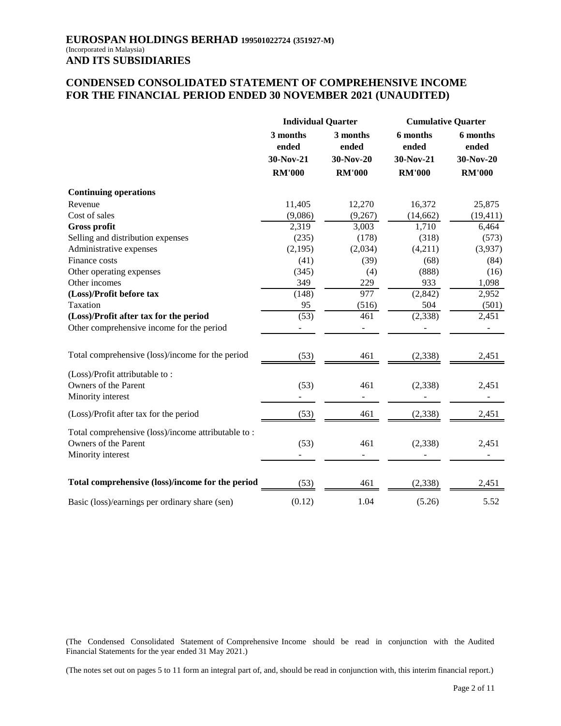# **CONDENSED CONSOLIDATED STATEMENT OF COMPREHENSIVE INCOME FOR THE FINANCIAL PERIOD ENDED 30 NOVEMBER 2021 (UNAUDITED)**

|                                                                                                 | <b>Individual Quarter</b> |                   | <b>Cumulative Quarter</b> |                   |
|-------------------------------------------------------------------------------------------------|---------------------------|-------------------|---------------------------|-------------------|
|                                                                                                 | 3 months<br>ended         | 3 months<br>ended | 6 months<br>ended         | 6 months<br>ended |
|                                                                                                 | 30-Nov-21                 | 30-Nov-20         | 30-Nov-21                 | 30-Nov-20         |
|                                                                                                 | <b>RM'000</b>             | <b>RM'000</b>     | <b>RM'000</b>             | <b>RM'000</b>     |
| <b>Continuing operations</b>                                                                    |                           |                   |                           |                   |
| Revenue                                                                                         | 11,405                    | 12,270            | 16,372                    | 25,875            |
| Cost of sales                                                                                   | (9,086)                   | (9,267)           | (14, 662)                 | (19, 411)         |
| <b>Gross profit</b>                                                                             | 2,319                     | 3,003             | 1,710                     | 6,464             |
| Selling and distribution expenses                                                               | (235)                     | (178)             | (318)                     | (573)             |
| Administrative expenses                                                                         | (2,195)                   | (2,034)           | (4,211)                   | (3,937)           |
| Finance costs                                                                                   | (41)                      | (39)              | (68)                      | (84)              |
| Other operating expenses                                                                        | (345)                     | (4)               | (888)                     | (16)              |
| Other incomes                                                                                   | 349                       | 229               | 933                       | 1,098             |
| (Loss)/Profit before tax                                                                        | (148)                     | 977               | (2,842)                   | 2,952             |
| Taxation                                                                                        | 95                        | (516)             | 504                       | (501)             |
| (Loss)/Profit after tax for the period                                                          | (53)                      | 461               | (2, 338)                  | 2,451             |
| Other comprehensive income for the period                                                       |                           |                   |                           |                   |
| Total comprehensive (loss)/income for the period                                                | (53)                      | 461               | (2, 338)                  | 2,451             |
| (Loss)/Profit attributable to:                                                                  |                           |                   |                           |                   |
| Owners of the Parent                                                                            | (53)                      | 461               | (2, 338)                  | 2,451             |
| Minority interest                                                                               |                           |                   |                           |                   |
| (Loss)/Profit after tax for the period                                                          | (53)                      | 461               | (2, 338)                  | 2,451             |
| Total comprehensive (loss)/income attributable to:<br>Owners of the Parent<br>Minority interest | (53)                      | 461               | (2, 338)                  | 2,451             |
|                                                                                                 |                           |                   |                           |                   |
| Total comprehensive (loss)/income for the period                                                | (53)                      | 461               | (2,338)                   | 2,451             |
| Basic (loss)/earnings per ordinary share (sen)                                                  | (0.12)                    | 1.04              | (5.26)                    | 5.52              |

(The Condensed Consolidated Statement of Comprehensive Income should be read in conjunction with the Audited Financial Statements for the year ended 31 May 2021.)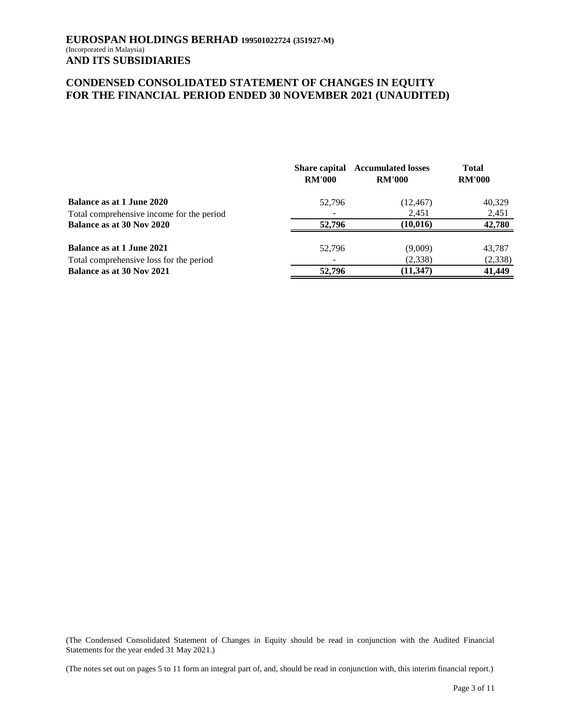# **CONDENSED CONSOLIDATED STATEMENT OF CHANGES IN EQUITY FOR THE FINANCIAL PERIOD ENDED 30 NOVEMBER 2021 (UNAUDITED)**

|                                           | <b>Share capital</b><br><b>RM'000</b> | <b>Accumulated losses</b><br><b>RM'000</b> | <b>Total</b><br><b>RM'000</b> |  |
|-------------------------------------------|---------------------------------------|--------------------------------------------|-------------------------------|--|
| <b>Balance as at 1 June 2020</b>          | 52,796                                | (12, 467)                                  | 40,329                        |  |
| Total comprehensive income for the period |                                       | 2,451                                      | 2,451                         |  |
| Balance as at 30 Nov 2020                 | 52,796                                | (10, 016)                                  | 42,780                        |  |
| <b>Balance as at 1 June 2021</b>          | 52,796                                | (9,009)                                    | 43,787                        |  |
| Total comprehensive loss for the period   |                                       | (2,338)                                    | (2, 338)                      |  |
| Balance as at 30 Nov 2021                 | 52,796                                | (11, 347)                                  | 41,449                        |  |

(The Condensed Consolidated Statement of Changes in Equity should be read in conjunction with the Audited Financial Statements for the year ended 31 May 2021.)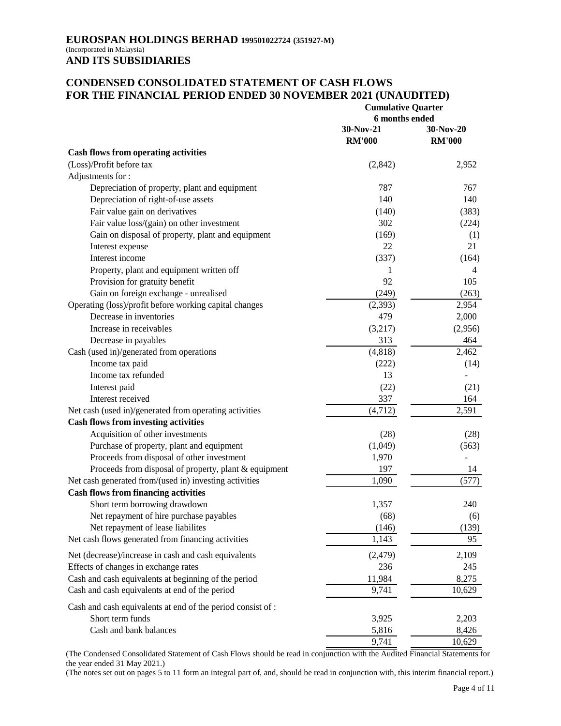### **CONDENSED CONSOLIDATED STATEMENT OF CASH FLOWS FOR THE FINANCIAL PERIOD ENDED 30 NOVEMBER 2021 (UNAUDITED) Cumulative Quarter**

|                                                             | <b>Cumulative Quarter</b><br>6 months ended |                            |  |
|-------------------------------------------------------------|---------------------------------------------|----------------------------|--|
|                                                             | 30-Nov-21<br><b>RM'000</b>                  | 30-Nov-20<br><b>RM'000</b> |  |
| <b>Cash flows from operating activities</b>                 |                                             |                            |  |
| (Loss)/Profit before tax                                    | (2,842)                                     | 2,952                      |  |
| Adjustments for:                                            |                                             |                            |  |
| Depreciation of property, plant and equipment               | 787                                         | 767                        |  |
| Depreciation of right-of-use assets                         | 140                                         | 140                        |  |
| Fair value gain on derivatives                              | (140)                                       | (383)                      |  |
| Fair value loss/(gain) on other investment                  | 302                                         | (224)                      |  |
| Gain on disposal of property, plant and equipment           | (169)                                       | (1)                        |  |
| Interest expense                                            | 22                                          | 21                         |  |
| Interest income                                             | (337)                                       | (164)                      |  |
| Property, plant and equipment written off                   | 1                                           | $\overline{4}$             |  |
| Provision for gratuity benefit                              | 92                                          | 105                        |  |
| Gain on foreign exchange - unrealised                       | (249)                                       | (263)                      |  |
| Operating (loss)/profit before working capital changes      | (2,393)                                     | 2,954                      |  |
| Decrease in inventories                                     | 479                                         | 2,000                      |  |
| Increase in receivables                                     | (3,217)                                     | (2,956)                    |  |
| Decrease in payables                                        | 313                                         | 464                        |  |
| Cash (used in)/generated from operations                    | (4, 818)                                    | 2,462                      |  |
| Income tax paid                                             | (222)                                       | (14)                       |  |
| Income tax refunded                                         | 13                                          |                            |  |
| Interest paid                                               | (22)                                        | (21)                       |  |
| Interest received                                           | 337                                         | 164                        |  |
| Net cash (used in)/generated from operating activities      | (4,712)                                     | 2,591                      |  |
| <b>Cash flows from investing activities</b>                 |                                             |                            |  |
| Acquisition of other investments                            | (28)                                        | (28)                       |  |
| Purchase of property, plant and equipment                   | (1,049)                                     | (563)                      |  |
| Proceeds from disposal of other investment                  | 1,970                                       |                            |  |
| Proceeds from disposal of property, plant & equipment       | 197                                         | 14                         |  |
| Net cash generated from/(used in) investing activities      | 1,090                                       | (577)                      |  |
| <b>Cash flows from financing activities</b>                 |                                             |                            |  |
| Short term borrowing drawdown                               | 1,357                                       | 240                        |  |
| Net repayment of hire purchase payables                     | (68)                                        | (6)                        |  |
| Net repayment of lease liabilites                           | (146)                                       | (139)                      |  |
| Net cash flows generated from financing activities          | 1,143                                       | 95                         |  |
| Net (decrease)/increase in cash and cash equivalents        | (2, 479)                                    | 2,109                      |  |
| Effects of changes in exchange rates                        | 236                                         | 245                        |  |
| Cash and cash equivalents at beginning of the period        | 11,984                                      | 8,275                      |  |
| Cash and cash equivalents at end of the period              | 9,741                                       | 10,629                     |  |
| Cash and cash equivalents at end of the period consist of : |                                             |                            |  |
| Short term funds                                            | 3,925                                       | 2,203                      |  |
| Cash and bank balances                                      | 5,816                                       | 8,426                      |  |
|                                                             | 9,741                                       | 10,629                     |  |
|                                                             |                                             |                            |  |

(The Condensed Consolidated Statement of Cash Flows should be read in conjunction with the Audited Financial Statements for the year ended 31 May 2021.)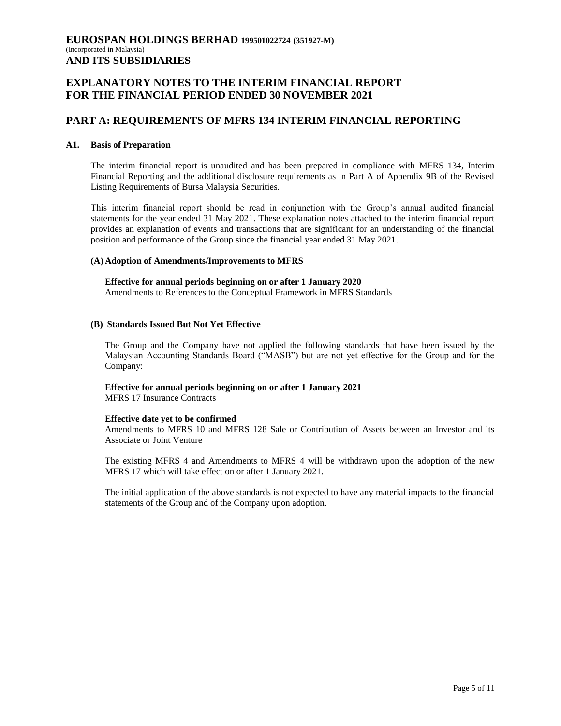# **EXPLANATORY NOTES TO THE INTERIM FINANCIAL REPORT FOR THE FINANCIAL PERIOD ENDED 30 NOVEMBER 2021**

### **PART A: REQUIREMENTS OF MFRS 134 INTERIM FINANCIAL REPORTING**

#### **A1. Basis of Preparation**

The interim financial report is unaudited and has been prepared in compliance with MFRS 134, Interim Financial Reporting and the additional disclosure requirements as in Part A of Appendix 9B of the Revised Listing Requirements of Bursa Malaysia Securities.

This interim financial report should be read in conjunction with the Group"s annual audited financial statements for the year ended 31 May 2021. These explanation notes attached to the interim financial report provides an explanation of events and transactions that are significant for an understanding of the financial position and performance of the Group since the financial year ended 31 May 2021.

#### **(A) Adoption of Amendments/Improvements to MFRS**

# **Effective for annual periods beginning on or after 1 January 2020**

Amendments to References to the Conceptual Framework in MFRS Standards

#### **(B) Standards Issued But Not Yet Effective**

The Group and the Company have not applied the following standards that have been issued by the Malaysian Accounting Standards Board ("MASB") but are not yet effective for the Group and for the Company:

### **Effective for annual periods beginning on or after 1 January 2021**

MFRS 17 Insurance Contracts

### **Effective date yet to be confirmed**

Amendments to MFRS 10 and MFRS 128 Sale or Contribution of Assets between an Investor and its Associate or Joint Venture

The existing MFRS 4 and Amendments to MFRS 4 will be withdrawn upon the adoption of the new MFRS 17 which will take effect on or after 1 January 2021.

The initial application of the above standards is not expected to have any material impacts to the financial statements of the Group and of the Company upon adoption.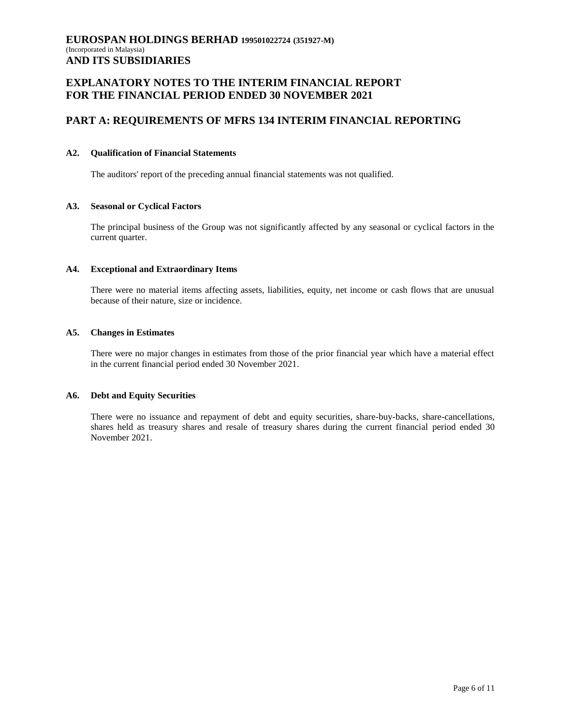# **EXPLANATORY NOTES TO THE INTERIM FINANCIAL REPORT FOR THE FINANCIAL PERIOD ENDED 30 NOVEMBER 2021**

# **PART A: REQUIREMENTS OF MFRS 134 INTERIM FINANCIAL REPORTING**

### **A2. Qualification of Financial Statements**

The auditors' report of the preceding annual financial statements was not qualified.

### **A3. Seasonal or Cyclical Factors**

The principal business of the Group was not significantly affected by any seasonal or cyclical factors in the current quarter.

#### **A4. Exceptional and Extraordinary Items**

There were no material items affecting assets, liabilities, equity, net income or cash flows that are unusual because of their nature, size or incidence.

#### **A5. Changes in Estimates**

There were no major changes in estimates from those of the prior financial year which have a material effect in the current financial period ended 30 November 2021.

#### **A6. Debt and Equity Securities**

There were no issuance and repayment of debt and equity securities, share-buy-backs, share-cancellations, shares held as treasury shares and resale of treasury shares during the current financial period ended 30 November 2021.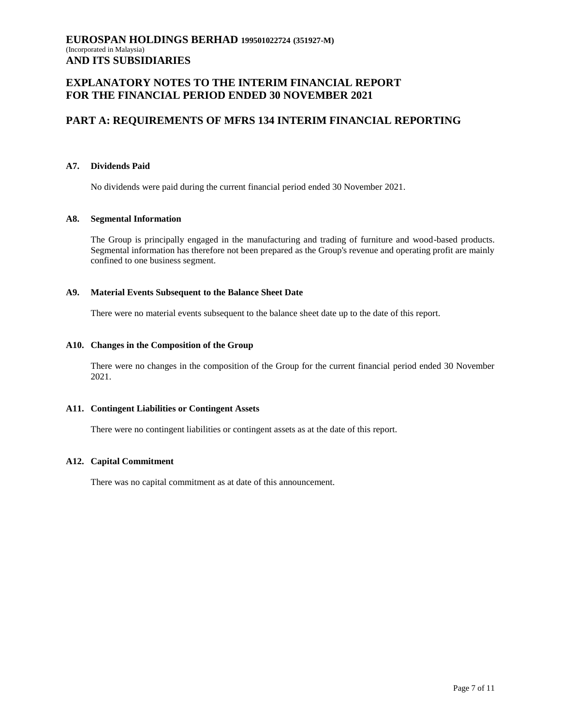# **EXPLANATORY NOTES TO THE INTERIM FINANCIAL REPORT FOR THE FINANCIAL PERIOD ENDED 30 NOVEMBER 2021**

# **PART A: REQUIREMENTS OF MFRS 134 INTERIM FINANCIAL REPORTING**

### **A7. Dividends Paid**

No dividends were paid during the current financial period ended 30 November 2021.

#### **A8. Segmental Information**

The Group is principally engaged in the manufacturing and trading of furniture and wood-based products. Segmental information has therefore not been prepared as the Group's revenue and operating profit are mainly confined to one business segment.

### **A9. Material Events Subsequent to the Balance Sheet Date**

There were no material events subsequent to the balance sheet date up to the date of this report.

#### **A10. Changes in the Composition of the Group**

There were no changes in the composition of the Group for the current financial period ended 30 November 2021.

### **A11. Contingent Liabilities or Contingent Assets**

There were no contingent liabilities or contingent assets as at the date of this report.

### **A12. Capital Commitment**

There was no capital commitment as at date of this announcement.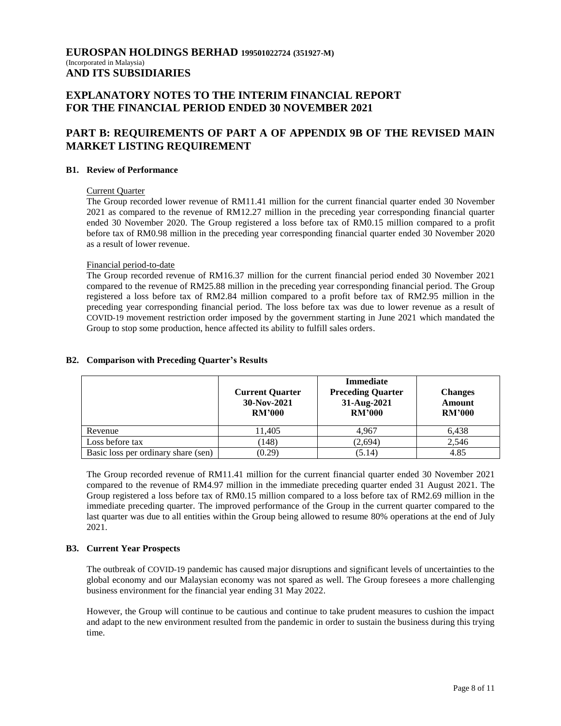# **EXPLANATORY NOTES TO THE INTERIM FINANCIAL REPORT FOR THE FINANCIAL PERIOD ENDED 30 NOVEMBER 2021**

# **PART B: REQUIREMENTS OF PART A OF APPENDIX 9B OF THE REVISED MAIN MARKET LISTING REQUIREMENT**

### **B1. Review of Performance**

#### Current Quarter

The Group recorded lower revenue of RM11.41 million for the current financial quarter ended 30 November 2021 as compared to the revenue of RM12.27 million in the preceding year corresponding financial quarter ended 30 November 2020. The Group registered a loss before tax of RM0.15 million compared to a profit before tax of RM0.98 million in the preceding year corresponding financial quarter ended 30 November 2020 as a result of lower revenue.

#### Financial period-to-date

The Group recorded revenue of RM16.37 million for the current financial period ended 30 November 2021 compared to the revenue of RM25.88 million in the preceding year corresponding financial period. The Group registered a loss before tax of RM2.84 million compared to a profit before tax of RM2.95 million in the preceding year corresponding financial period. The loss before tax was due to lower revenue as a result of COVID-19 movement restriction order imposed by the government starting in June 2021 which mandated the Group to stop some production, hence affected its ability to fulfill sales orders.

#### **Current Quarter 30-Nov-2021 RM'000 Immediate Preceding Quarter 31-Aug-2021 RM'000 Changes Amount RM'000** Revenue 11,405 | 4,967 | 6,438 Loss before tax  $(148)$   $(2,694)$   $2,546$ Basic loss per ordinary share (sen)  $(0.29)$  (5.14)  $4.85$

### **B2. Comparison with Preceding Quarter's Results**

The Group recorded revenue of RM11.41 million for the current financial quarter ended 30 November 2021 compared to the revenue of RM4.97 million in the immediate preceding quarter ended 31 August 2021. The Group registered a loss before tax of RM0.15 million compared to a loss before tax of RM2.69 million in the immediate preceding quarter. The improved performance of the Group in the current quarter compared to the last quarter was due to all entities within the Group being allowed to resume 80% operations at the end of July 2021.

### **B3. Current Year Prospects**

The outbreak of COVID-19 pandemic has caused major disruptions and significant levels of uncertainties to the global economy and our Malaysian economy was not spared as well. The Group foresees a more challenging business environment for the financial year ending 31 May 2022.

However, the Group will continue to be cautious and continue to take prudent measures to cushion the impact and adapt to the new environment resulted from the pandemic in order to sustain the business during this trying time.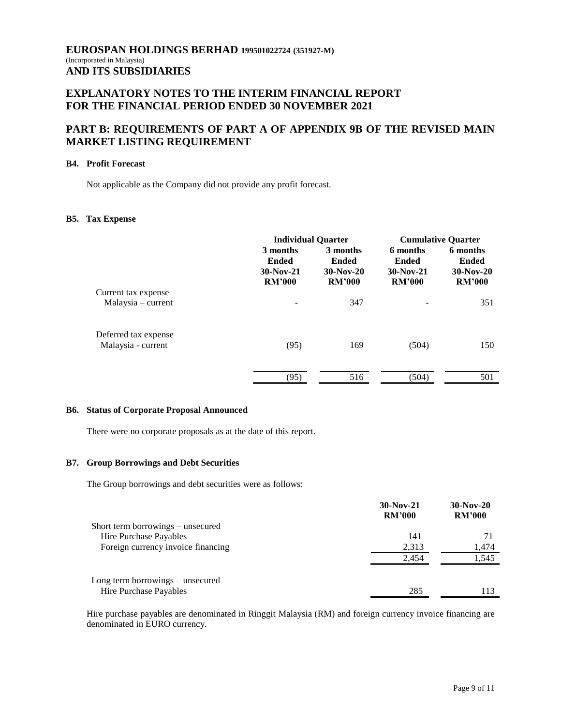# **EXPLANATORY NOTES TO THE INTERIM FINANCIAL REPORT FOR THE FINANCIAL PERIOD ENDED 30 NOVEMBER 2021**

# **PART B: REQUIREMENTS OF PART A OF APPENDIX 9B OF THE REVISED MAIN MARKET LISTING REQUIREMENT**

### **B4. Profit Forecast**

Not applicable as the Company did not provide any profit forecast.

### **B5. Tax Expense**

|                                             | <b>Individual Quarter</b>                                |                                                          | <b>Cumulative Quarter</b>                         |                                                   |
|---------------------------------------------|----------------------------------------------------------|----------------------------------------------------------|---------------------------------------------------|---------------------------------------------------|
|                                             | 3 months<br><b>Ended</b><br>$30-Nov-21$<br><b>RM'000</b> | 3 months<br><b>Ended</b><br>$30-Nov-20$<br><b>RM'000</b> | 6 months<br>Ended<br>$30-Nov-21$<br><b>RM'000</b> | 6 months<br>Ended<br>$30-Nov-20$<br><b>RM'000</b> |
| Current tax expense<br>$Malaysia$ – current |                                                          | 347                                                      |                                                   | 351                                               |
|                                             |                                                          |                                                          |                                                   |                                                   |
| Deferred tax expense                        |                                                          |                                                          |                                                   |                                                   |
| Malaysia - current                          | (95)                                                     | 169                                                      | (504)                                             | 150                                               |
|                                             | (95)                                                     | 516                                                      | (504)                                             | 501                                               |

#### **B6. Status of Corporate Proposal Announced**

There were no corporate proposals as at the date of this report.

### **B7. Group Borrowings and Debt Securities**

The Group borrowings and debt securities were as follows:

|                                    | $30-Nov-21$<br><b>RM'000</b> | $30-Nov-20$<br><b>RM'000</b> |
|------------------------------------|------------------------------|------------------------------|
| Short term borrowings – unsecured  |                              |                              |
| Hire Purchase Payables             | 141                          |                              |
| Foreign currency invoice financing | 2,313                        | 1,474                        |
|                                    | 2.454                        | 1,545                        |
| Long term borrowings – unsecured   |                              |                              |
| Hire Purchase Payables             | 285                          | 113                          |

Hire purchase payables are denominated in Ringgit Malaysia (RM) and foreign currency invoice financing are denominated in EURO currency.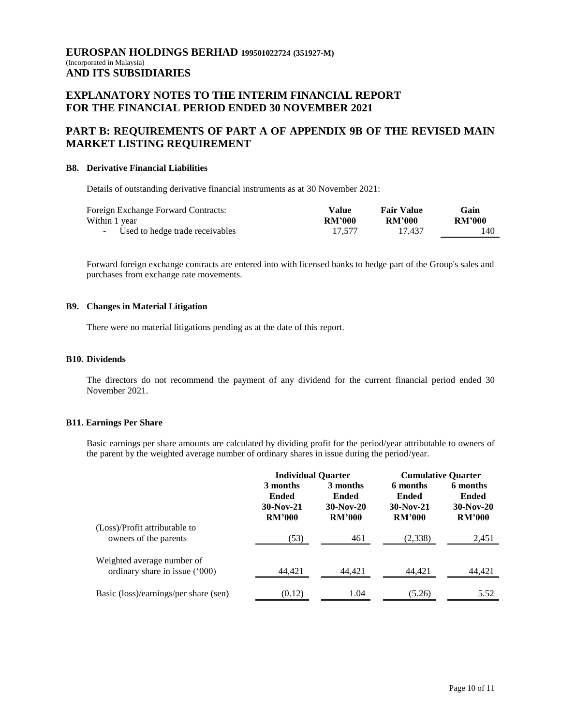# **EXPLANATORY NOTES TO THE INTERIM FINANCIAL REPORT FOR THE FINANCIAL PERIOD ENDED 30 NOVEMBER 2021**

# **PART B: REQUIREMENTS OF PART A OF APPENDIX 9B OF THE REVISED MAIN MARKET LISTING REQUIREMENT**

#### **B8. Derivative Financial Liabilities**

Details of outstanding derivative financial instruments as at 30 November 2021:

| Foreign Exchange Forward Contracts: | Value         | <b>Fair Value</b> | Gain          |
|-------------------------------------|---------------|-------------------|---------------|
| Within 1 year                       | <b>RM'000</b> | <b>RM'000</b>     | <b>RM'000</b> |
| - Used to hedge trade receivables   | 17.577        | 17.437            | 140           |

Forward foreign exchange contracts are entered into with licensed banks to hedge part of the Group's sales and purchases from exchange rate movements.

#### **B9. Changes in Material Litigation**

There were no material litigations pending as at the date of this report.

### **B10. Dividends**

The directors do not recommend the payment of any dividend for the current financial period ended 30 November 2021.

#### **B11. Earnings Per Share**

Basic earnings per share amounts are calculated by dividing profit for the period/year attributable to owners of the parent by the weighted average number of ordinary shares in issue during the period/year.

|                                                              | <b>Individual Quarter</b>                                |                                                          | <b>Cumulative Quarter</b>                                |                                                          |
|--------------------------------------------------------------|----------------------------------------------------------|----------------------------------------------------------|----------------------------------------------------------|----------------------------------------------------------|
|                                                              | 3 months<br><b>Ended</b><br>$30-Nov-21$<br><b>RM'000</b> | 3 months<br><b>Ended</b><br>$30-Nov-20$<br><b>RM'000</b> | 6 months<br><b>Ended</b><br>$30-Nov-21$<br><b>RM'000</b> | 6 months<br><b>Ended</b><br>$30-Nov-20$<br><b>RM'000</b> |
| (Loss)/Profit attributable to<br>owners of the parents       | (53)                                                     | 461                                                      | (2, 338)                                                 | 2,451                                                    |
| Weighted average number of<br>ordinary share in issue ('000) | 44.421                                                   | 44.421                                                   | 44.421                                                   | 44,421                                                   |
| Basic (loss)/earnings/per share (sen)                        | (0.12)                                                   | 1.04                                                     | (5.26)                                                   | 5.52                                                     |